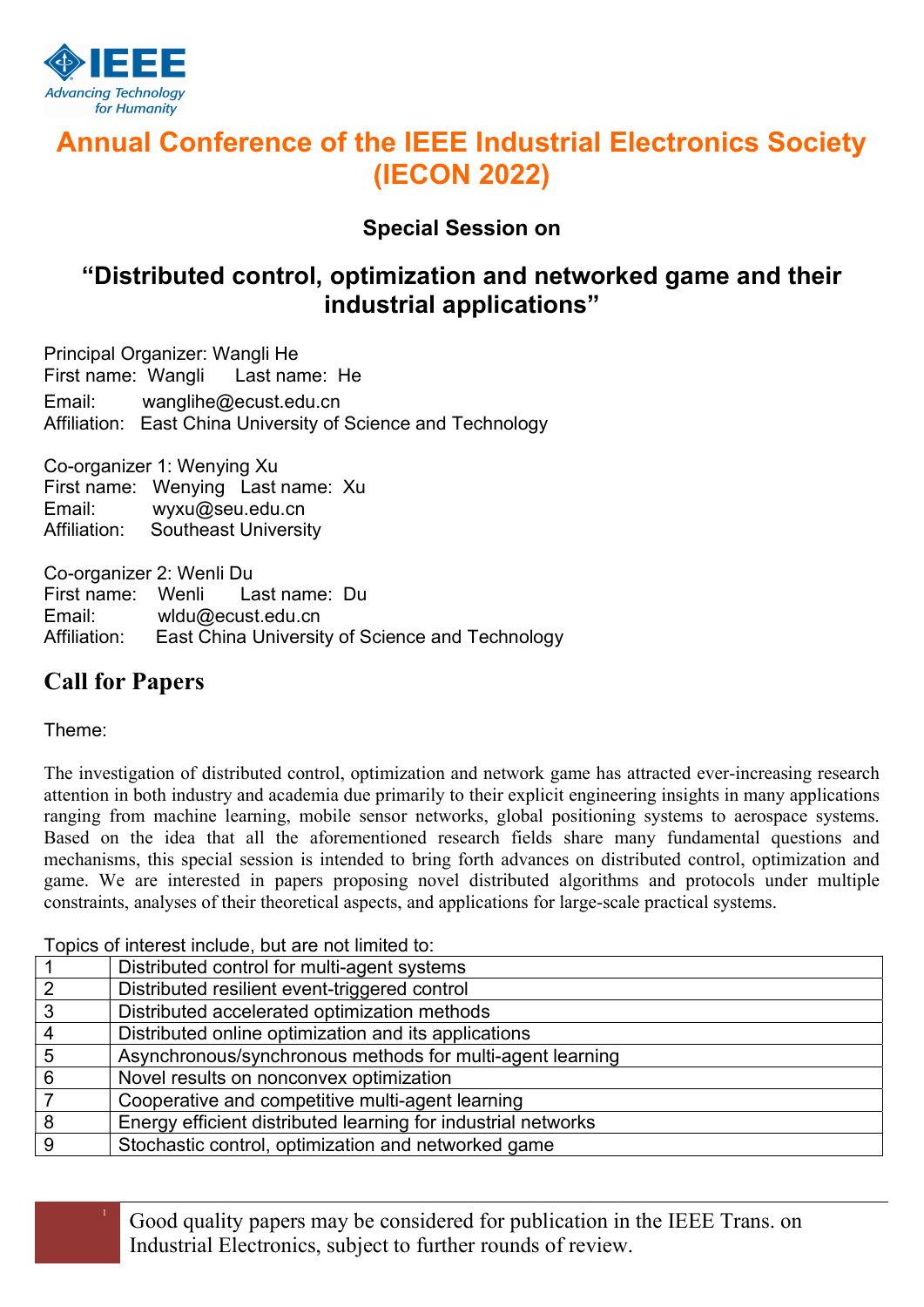

# Annual Conference of the IEEE Industrial Electronics Society (IECON 2022)

Special Session on

## "Distributed control, optimization and networked game and their industrial applications"

Principal Organizer: Wangli He First name: Wangli Last name: He Email: wanglihe@ecust.edu.cn Affiliation: East China University of Science and Technology

Co-organizer 1: Wenying Xu First name: Wenying Last name: Xu Email: wyxu@seu.edu.cn Affiliation: Southeast University

Co-organizer 2: Wenli Du First name: Wenli Last name: Du Email: wldu@ecust.edu.cn Affiliation: East China University of Science and Technology

## Call for Papers

Theme:

The investigation of distributed control, optimization and network game has attracted ever-increasing research attention in both industry and academia due primarily to their explicit engineering insights in many applications ranging from machine learning, mobile sensor networks, global positioning systems to aerospace systems. Based on the idea that all the aforementioned research fields share many fundamental questions and mechanisms, this special session is intended to bring forth advances on distributed control, optimization and game. We are interested in papers proposing novel distributed algorithms and protocols under multiple constraints, analyses of their theoretical aspects, and applications for large-scale practical systems.

Topics of interest include, but are not limited to:

| Distributed control for multi-agent systems                   |
|---------------------------------------------------------------|
| Distributed resilient event-triggered control                 |
| Distributed accelerated optimization methods                  |
| Distributed online optimization and its applications          |
| Asynchronous/synchronous methods for multi-agent learning     |
| Novel results on nonconvex optimization                       |
| Cooperative and competitive multi-agent learning              |
| Energy efficient distributed learning for industrial networks |
| Stochastic control, optimization and networked game           |
|                                                               |

<sup>1</sup> Good quality papers may be considered for publication in the IEEE Trans. on Industrial Electronics, subject to further rounds of review.